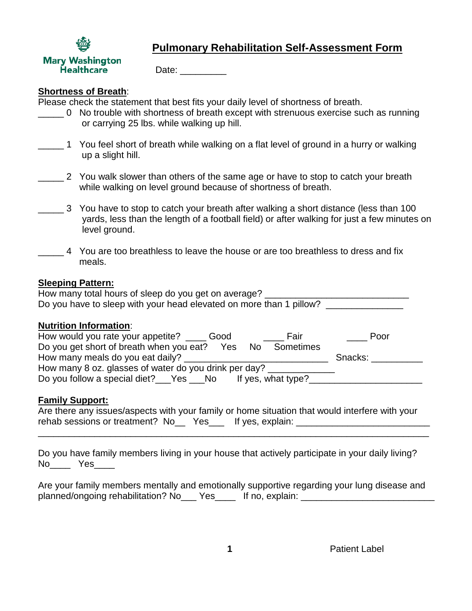

# **Pulmonary Rehabilitation Self-Assessment Form**

Date: \_\_\_\_\_\_\_\_\_\_

## **Shortness of Breath**:

Please check the statement that best fits your daily level of shortness of breath.

- \_\_\_\_\_ 0 No trouble with shortness of breath except with strenuous exercise such as running or carrying 25 lbs. while walking up hill.
- 1 You feel short of breath while walking on a flat level of ground in a hurry or walking up a slight hill.
	- \_\_\_\_\_ 2 You walk slower than others of the same age or have to stop to catch your breath while walking on level ground because of shortness of breath.
- \_\_\_\_\_ 3 You have to stop to catch your breath after walking a short distance (less than 100 yards, less than the length of a football field) or after walking for just a few minutes on level ground.
- 4 You are too breathless to leave the house or are too breathless to dress and fix meals.

## **Sleeping Pattern:**

| How many total hours of sleep do you get on average?                |  |
|---------------------------------------------------------------------|--|
| Do you have to sleep with your head elevated on more than 1 pillow? |  |

#### **Nutrition Information**:

| How would you rate your appetite?                     | Good | Fair               | Poor    |
|-------------------------------------------------------|------|--------------------|---------|
| Do you get short of breath when you eat?              | Yes  | No Sometimes       |         |
| How many meals do you eat daily?                      |      |                    | Snacks: |
| How many 8 oz. glasses of water do you drink per day? |      |                    |         |
| Do you follow a special diet? Yes No                  |      | If yes, what type? |         |

# **Family Support:**

|                                                            | Are there any issues/aspects with your family or home situation that would interfere with your |
|------------------------------------------------------------|------------------------------------------------------------------------------------------------|
| rehab sessions or treatment? No __ Yes __ If yes, explain: |                                                                                                |

\_\_\_\_\_\_\_\_\_\_\_\_\_\_\_\_\_\_\_\_\_\_\_\_\_\_\_\_\_\_\_\_\_\_\_\_\_\_\_\_\_\_\_\_\_\_\_\_\_\_\_\_\_\_\_\_\_\_\_\_\_\_\_\_\_\_\_\_\_\_\_\_\_\_\_\_

Do you have family members living in your house that actively participate in your daily living? No\_\_\_\_ Yes\_\_\_\_

Are your family members mentally and emotionally supportive regarding your lung disease and planned/ongoing rehabilitation? No Yes Fig. 1 If no, explain: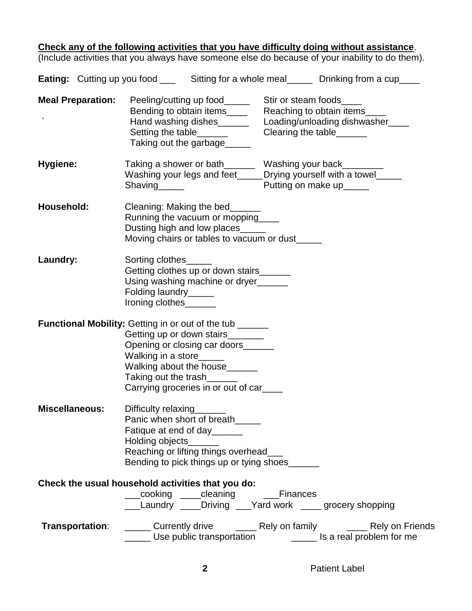## **Check any of the following activities that you have difficulty doing without assistance**.

(Include activities that you always have someone else do because of your inability to do them).

|                          | <b>Eating:</b> Cutting up you food ______ Sitting for a whole meal_______ Drinking from a cup____                                                                                                                                                                         |                          |
|--------------------------|---------------------------------------------------------------------------------------------------------------------------------------------------------------------------------------------------------------------------------------------------------------------------|--------------------------|
| <b>Meal Preparation:</b> | Bending to obtain items________ Reaching to obtain items_____<br>Hand washing dishes___________ Loading/unloading dishwasher_____<br>Setting the table_______<br>Taking out the garbage_____                                                                              | Clearing the table______ |
| Hygiene:                 | Taking a shower or bath_______ Washing your back________<br>Washing your legs and feet_____Drying yourself with a towel_____<br>Putting on make up_____<br>Shaving <sub>______</sub>                                                                                      |                          |
| Household:               | Cleaning: Making the bed______<br>Running the vacuum or mopping<br>Dusting high and low places<br>Moving chairs or tables to vacuum or dust_____                                                                                                                          |                          |
| Laundry:                 | Sorting clothes<br>Getting clothes up or down stairs______<br>Using washing machine or dryer<br>Folding laundry______<br>Ironing clothes                                                                                                                                  |                          |
|                          | Functional Mobility: Getting in or out of the tub ______<br>Getting up or down stairs________<br>Opening or closing car doors______<br>Walking in a store______<br>Walking about the house______<br>Taking out the trash______<br>Carrying groceries in or out of car____ |                          |
| <b>Miscellaneous:</b>    | Difficulty relaxing<br>Panic when short of breath_____<br>Fatique at end of day _______<br>Holding objects<br>Reaching or lifting things overhead_<br>Bending to pick things up or tying shoes______                                                                      |                          |
|                          | Check the usual household activities that you do:<br>___cooking ____cleaning _____Finances<br>___Laundry ____Driving ___Yard work _____ grocery shopping                                                                                                                  |                          |
| <b>Transportation:</b>   | ______ Currently drive ________ Rely on family ________ Rely on Friends<br>_____ Use public transportation __________ Is a real problem for me                                                                                                                            |                          |